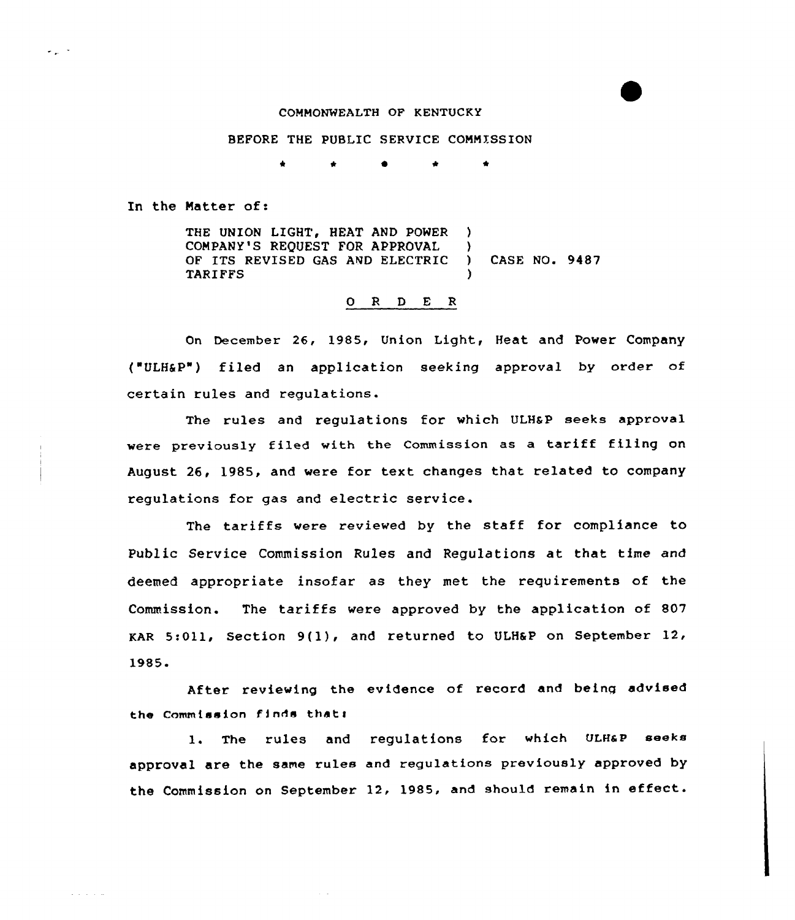#### COMMONWEALTH OF KENTUCKY

### BEFORE THE PUBLIC SERVICE COMMISSION

<sup>4</sup> \* \*

In the Natter of:

 $\sigma_{\rm eff}$  ,  $\sigma$ 

 $\mathcal{L}^{\pm}$  and  $\mathcal{L}^{\pm}$  and  $\mathcal{L}^{\pm}$ 

THE UNION LIGHT, HEAT AND POWER ) COMPANY'S REQUEST FOR APPROVAL ) OF ITS REVISED GAS AND ELECTRIC ) CASE NO. 9487 **TARIFFS** 

## 0 R <sup>D</sup> E R

On December 26, 1985, Union Light, Heat and Power Company ("ULHSP") filed an application seeking approval by order of certain rules and regulations.

The rules and regulations for which ULHaP seeks approval were previously filed with the Commission as <sup>a</sup> tariff filing on August 26, 1985, and were for text changes that related to company regulations for gas and electric service.

The tariffs were reviewed by the staff for compliance to Public Service Commission Rules and Regulations at that time and deemed appropriate insofar as they met the requirements of the Commission. The tariffs were approved by the application of 807 KAR 5:011, Section 9(1), and returned to ULH&P on September 12. 1985 <sup>~</sup>

After reviewing the evidence of record and being advised the Commission finds that:

1. The rules and regulations for which ULH&P seeks approval are the same rules and regulations previously approved by the Commission on September 12, 1985, and should remain in effect.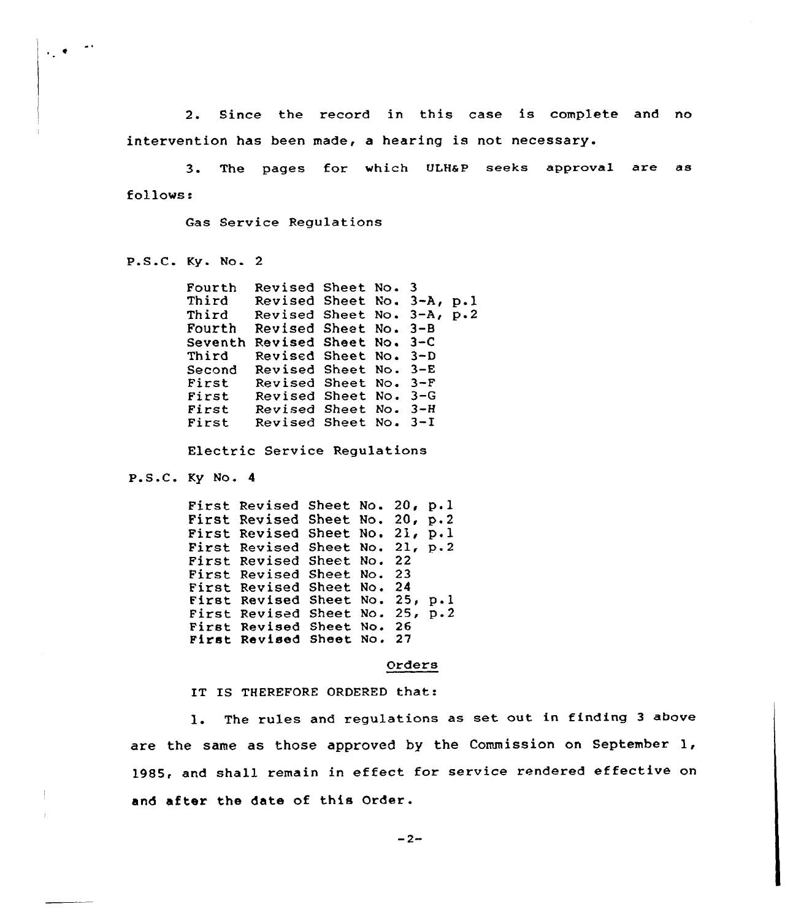2. Since the record in this case is complete and no intervention has been made, a hearing is not necessary.

3. The pages for which ULHaP seeks approval are as follows:

Gas Service Regulations

P.S.C. Ky. No. <sup>2</sup>

 $\mathcal{L}_{\mathcal{L}}$  .

Fourth Third Third Fourth Revised Sheet No. 3-8 Seventh Revised Sheet No. 3-C Third Second Revised Sheet No. 3-E<br>First Revised Sheet No. 3-F<br>First Revised Sheet No. 3-G<br>First Revised Sheet No. 3-H<br>First Revised Sheet No. 3-I Revised Sheet No. 3 Revised Sheet No. 3-A, p.l Revised Sheet No. 3-A, p.2 Revised Sheet No. 3-D Revised Sheet No. 3-F Revised Sheet No. 3-G Revised Sheet No. 3-H<br>Revised Sheet No. 3-I Revised Sheet No.

Electric Service Regulations

P.S.C. Ky No. <sup>4</sup>

First Revised Sheet No. 20, p.l First Revised Sheet No. 20, p.2<br>First Revised Sheet No. 21, p.1 First Revised<br>First Revised<br>First Revised<br>First Revised<br>First Revised<br>First Revised<br>First Revised Sheet No. 20, p.2 Sheet No. 21, p.2 Sheet No. 22 Sheet No. 23 Sheet No. 24 sheet No. 25, p.1 Sheet Sheet Sheet No. 27 No i Noi 25, p.2 26

Orders

IT IS THEREFORE ORDERED that:

1. The rules and regulations as set out in finding <sup>3</sup> above are the same as those approved by the Commission on September 1, 1985, and shall remain in effect for service rendered effective on and after the date of this Order.